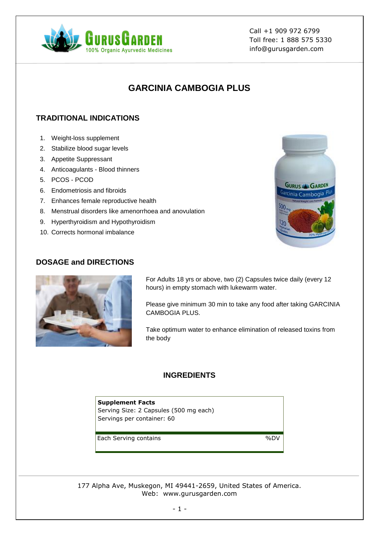

Call +1 909 972 6799 Toll free: 1 888 575 5330 info@gurusgarden.com

# **GARCINIA CAMBOGIA PLUS**

## **TRADITIONAL INDICATIONS**

- 1. Weight-loss supplement
- 2. Stabilize blood sugar levels
- 3. Appetite Suppressant
- 4. Anticoagulants Blood thinners
- 5. PCOS PCOD
- 6. Endometriosis and fibroids
- 7. Enhances female reproductive health
- 8. Menstrual disorders like amenorrhoea and anovulation
- 9. Hyperthyroidism and Hypothyroidism
- 10. Corrects hormonal imbalance



#### **DOSAGE and DIRECTIONS**



For Adults 18 yrs or above, two (2) Capsules twice daily (every 12 hours) in empty stomach with lukewarm water.

Please give minimum 30 min to take any food after taking GARCINIA CAMBOGIA PLUS.

Take optimum water to enhance elimination of released toxins from the body

### **INGREDIENTS**

**Supplement Facts** Serving Size: 2 Capsules (500 mg each) Servings per container: 60

Each Serving contains **Each Serving Contains**  $\%$ DV

177 Alpha Ave, Muskegon, MI 49441-2659, United States of America. Web: www.gurusgarden.com